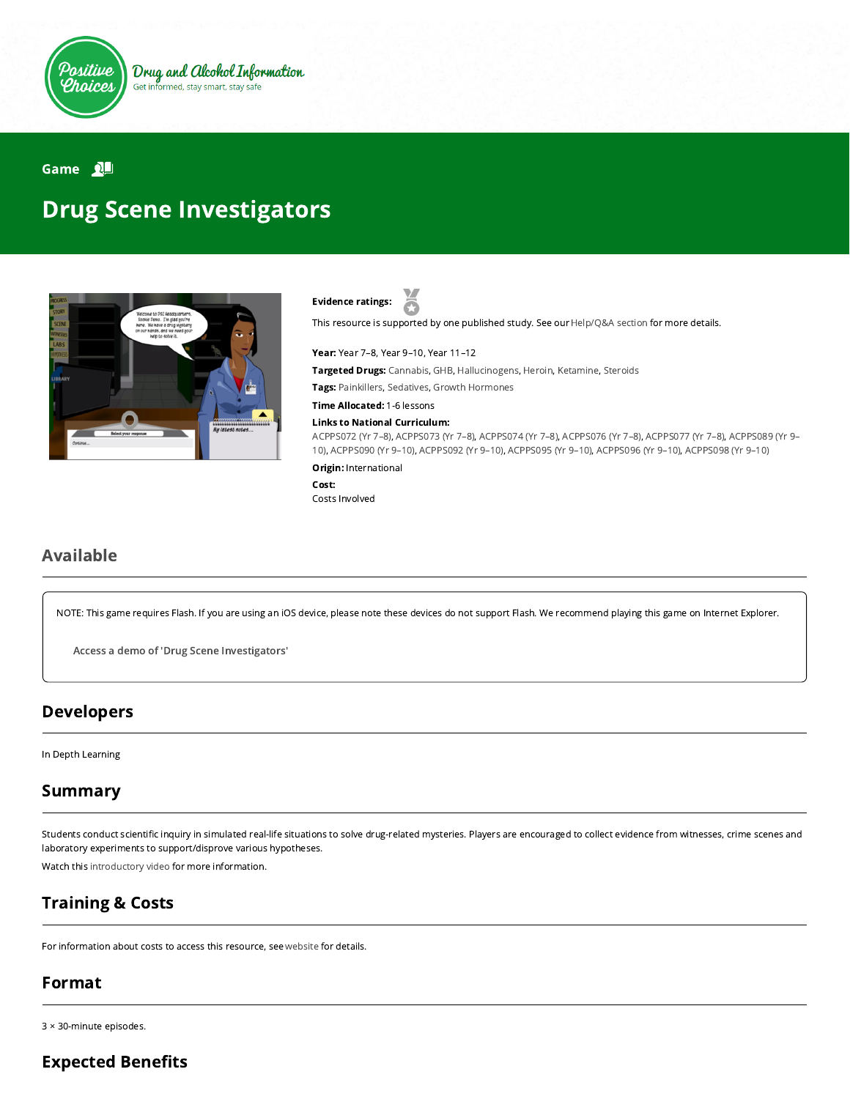

Game

# Drug Scene Investigators



Evidence ratings:

This resource is supported by one published study. See our [Help/Q&A section](https://positivechoices.org.au/help/questions-and-answers/) for more details.

Year: Year 7–8, Year 9–10, Year 11–12 Targeted Drugs: Cannabis, GHB, Hallucinogens, Heroin, Ketamine, Steroids Tags: Painkillers, Sedatives, Growth Hormones

Time Allocated: 1-6 lessons

Links to National Curriculum:

[ACPPS072 \(Yr 7–8](http://www.australiancurriculum.edu.au/Curriculum/ContentDescription/ACPPS072)[\),](http://www.australiancurriculum.edu.au/Curriculum/ContentDescription/ACPPS089) [ACPPS073 \(Yr 7–8](http://www.australiancurriculum.edu.au/Curriculum/ContentDescription/ACPPS073)[\), A](http://www.australiancurriculum.edu.au/Curriculum/ContentDescription/ACPPS089)[CPPS074 \(Yr 7–8](http://www.australiancurriculum.edu.au/Curriculum/ContentDescription/ACPPS074)[\),](http://www.australiancurriculum.edu.au/Curriculum/ContentDescription/ACPPS089) [ACPPS076 \(Yr 7–8](http://www.australiancurriculum.edu.au/Curriculum/ContentDescription/ACPPS076)[\), A](http://www.australiancurriculum.edu.au/Curriculum/ContentDescription/ACPPS089)[CPPS077 \(Yr 7–8](http://www.australiancurriculum.edu.au/Curriculum/ContentDescription/ACPPS077)[\), ACPPS089 \(Yr 9–](http://www.australiancurriculum.edu.au/Curriculum/ContentDescription/ACPPS089) 10), [ACPPS090 \(Yr 9–10\),](http://www.australiancurriculum.edu.au/Curriculum/ContentDescription/ACPPS090) [ACPPS092 \(Yr 9–10\),](http://www.australiancurriculum.edu.au/Curriculum/ContentDescription/ACPPS092) [ACPPS095 \(Yr 9–10\)](http://www.australiancurriculum.edu.au/Curriculum/ContentDescription/ACPPS095), [ACPPS096 \(Yr 9–10\),](http://www.australiancurriculum.edu.au/Curriculum/ContentDescription/ACPPS096) [ACPPS098 \(Yr 9–10\)](http://www.australiancurriculum.edu.au/Curriculum/ContentDescription/ACPPS098)

Origin: International

Cost:

Costs Involved

## Available

NOTE: This game requires Flash. If you are using an iOS device, please note these devices do not support Flash. We recommend playing this game on Internet Explorer.

Access a demo of 'Drug Scene [Investigators'](http://demo.dsihome.org/)

#### Developers

In Depth Learning

### Summary

Students conduct scientific inquiry in simulated real-life situations to solve drug-related mysteries. Players are encouraged to collect evidence from witnesses, crime scenes and laboratory experiments to support/disprove various hypotheses.

Watch this [introductory video](https://www.youtube.com/watch?v=_wOzvNpkdcY) for more information.

### Training & Costs

For information about costs to access this resource, see [website](http://dsihome.org/) for details.

### Format

3 × 30-minute episodes.

## **Expected Benefits**